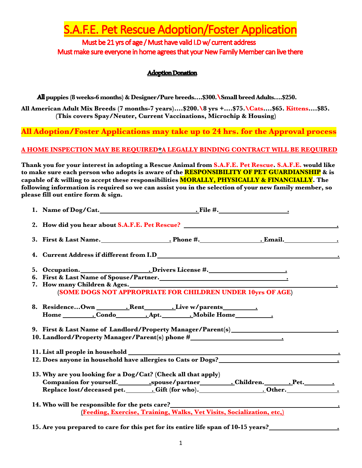**A.F.E. Pet Rescue Adoption/Foster Application** 

Must be 21 yrs of age / Must have valid I.D w/ current address Must make sure everyone in home agrees that your New Family Member can live there

## Adoption Donation

All **puppies (8 weeks-6 months) & Designer/Pure breeds….\$300.\Small breed Adults….\$250.**

**All American Adult Mix Breeds (7 months-7 years)….\$200.\8 yrs +….\$75.\Cats….\$65. Kittens….\$85. (This covers Spay/Neuter, Current Vaccinations, Microchip & Housing)**

**All Adoption/Foster Applications may take up to 24 hrs. for the Approval process**

## **A HOME INSPECTION MAY BE REQUIRED\*A LEGALLY BINDING CONTRACT WILL BE REQUIRED**

**Thank you for your interest in adopting a Rescue Animal from S.A.F.E. Pet Rescue. S.A.F.E. would like to make sure each person who adopts is aware of the RESPONSIBILITY OF PET GUARDIANSHIP & is capable of & willing to accept these responsibilities MORALLY, PHYSICALLY & FINANCIALLY. The following information is required so we can assist you in the selection of your new family member, so please fill out entire form & sign.**

|                                                                                                                                                            | (SOME DOGS NOT APPROPRIATE FOR CHILDREN UNDER 10yrs OF AGE)                                                                                                                     |  |  |  |  |  |
|------------------------------------------------------------------------------------------------------------------------------------------------------------|---------------------------------------------------------------------------------------------------------------------------------------------------------------------------------|--|--|--|--|--|
|                                                                                                                                                            | 9. First & Last Name of Landlord/Property Manager/Parent(s)______________________                                                                                               |  |  |  |  |  |
| 10. Landlord/Property Manager/Parent(s) phone #_________________________________                                                                           |                                                                                                                                                                                 |  |  |  |  |  |
| 12. Does anyone in household have allergies to Cats or Dogs?<br><u>.</u>                                                                                   |                                                                                                                                                                                 |  |  |  |  |  |
|                                                                                                                                                            | 13. Why are you looking for a Dog/Cat? (Check all that apply)<br>Replace lost/deceased pet. _________Gift (for who). __________________________Other. _________________________ |  |  |  |  |  |
| 14. Who will be responsible for the pets care?___________________________________<br>(Feeding, Exercise, Training, Walks, Vet Visits, Socialization, etc,) |                                                                                                                                                                                 |  |  |  |  |  |

**15. Are you prepared to care for this pet for its entire life span of 10-15 years? .**